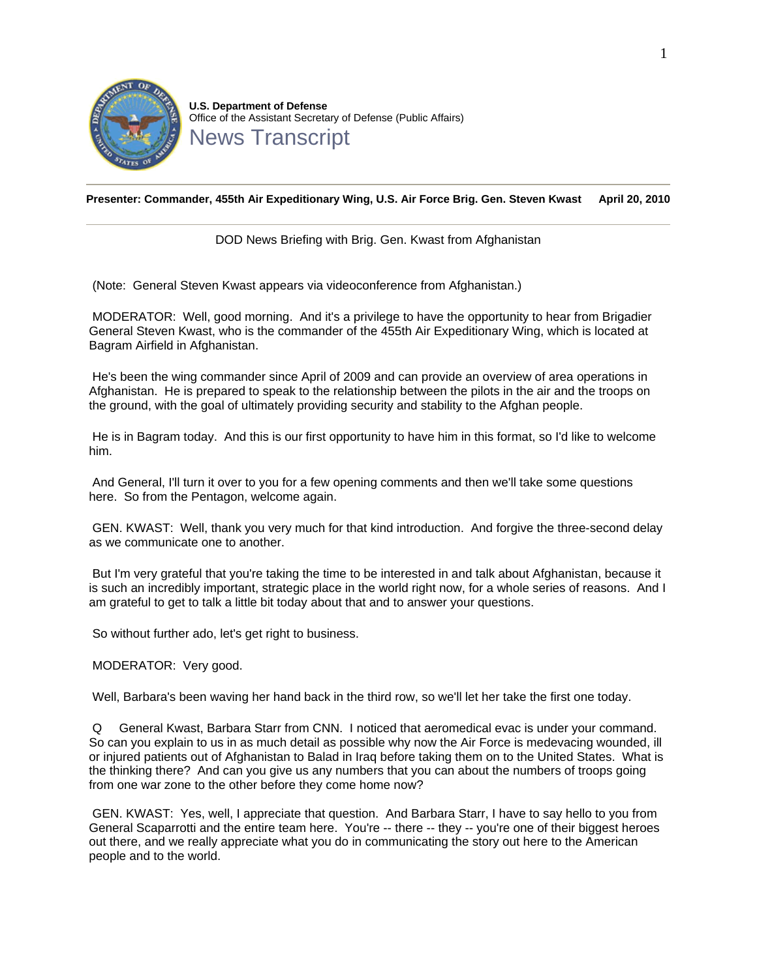

**U.S. Department of Defense** Office of the Assistant Secretary of Defense (Public Affairs) News Transcript

## **Presenter: Commander, 455th Air Expeditionary Wing, U.S. Air Force Brig. Gen. Steven Kwast April 20, 2010**

## DOD News Briefing with Brig. Gen. Kwast from Afghanistan

(Note: General Steven Kwast appears via videoconference from Afghanistan.)

 MODERATOR: Well, good morning. And it's a privilege to have the opportunity to hear from Brigadier General Steven Kwast, who is the commander of the 455th Air Expeditionary Wing, which is located at Bagram Airfield in Afghanistan.

 He's been the wing commander since April of 2009 and can provide an overview of area operations in Afghanistan. He is prepared to speak to the relationship between the pilots in the air and the troops on the ground, with the goal of ultimately providing security and stability to the Afghan people.

 He is in Bagram today. And this is our first opportunity to have him in this format, so I'd like to welcome him.

 And General, I'll turn it over to you for a few opening comments and then we'll take some questions here. So from the Pentagon, welcome again.

 GEN. KWAST: Well, thank you very much for that kind introduction. And forgive the three-second delay as we communicate one to another.

 But I'm very grateful that you're taking the time to be interested in and talk about Afghanistan, because it is such an incredibly important, strategic place in the world right now, for a whole series of reasons. And I am grateful to get to talk a little bit today about that and to answer your questions.

So without further ado, let's get right to business.

MODERATOR: Very good.

Well, Barbara's been waving her hand back in the third row, so we'll let her take the first one today.

 Q General Kwast, Barbara Starr from CNN. I noticed that aeromedical evac is under your command. So can you explain to us in as much detail as possible why now the Air Force is medevacing wounded, ill or injured patients out of Afghanistan to Balad in Iraq before taking them on to the United States. What is the thinking there? And can you give us any numbers that you can about the numbers of troops going from one war zone to the other before they come home now?

 GEN. KWAST: Yes, well, I appreciate that question. And Barbara Starr, I have to say hello to you from General Scaparrotti and the entire team here. You're -- there -- they -- you're one of their biggest heroes out there, and we really appreciate what you do in communicating the story out here to the American people and to the world.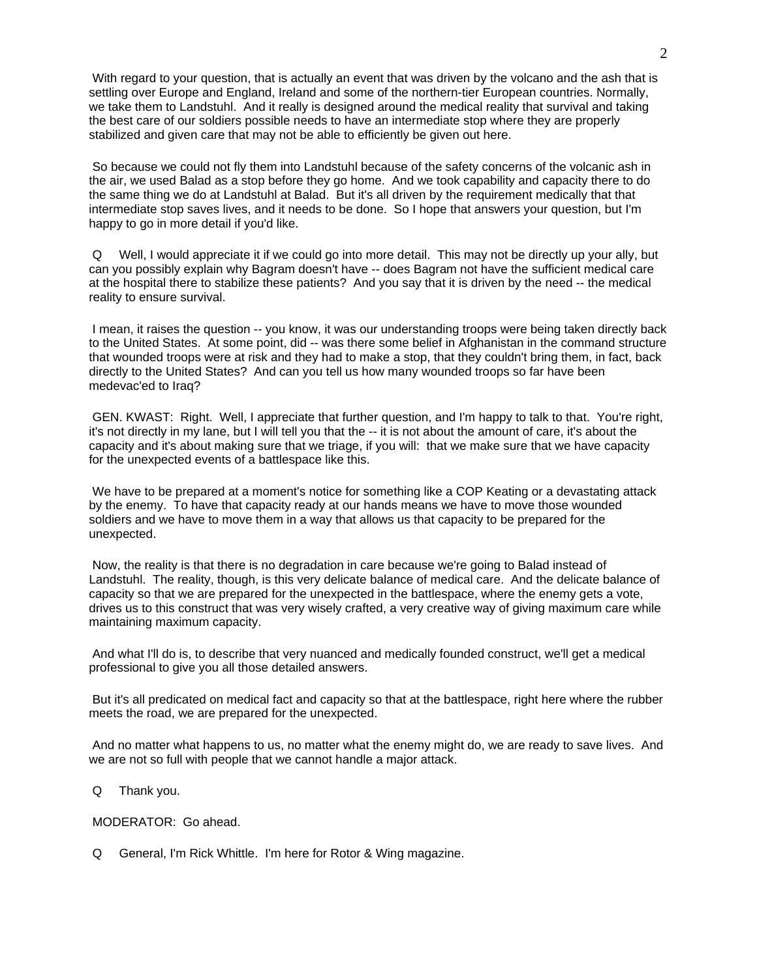With regard to your question, that is actually an event that was driven by the volcano and the ash that is settling over Europe and England, Ireland and some of the northern-tier European countries. Normally, we take them to Landstuhl. And it really is designed around the medical reality that survival and taking the best care of our soldiers possible needs to have an intermediate stop where they are properly stabilized and given care that may not be able to efficiently be given out here.

 So because we could not fly them into Landstuhl because of the safety concerns of the volcanic ash in the air, we used Balad as a stop before they go home. And we took capability and capacity there to do the same thing we do at Landstuhl at Balad. But it's all driven by the requirement medically that that intermediate stop saves lives, and it needs to be done. So I hope that answers your question, but I'm happy to go in more detail if you'd like.

 Q Well, I would appreciate it if we could go into more detail. This may not be directly up your ally, but can you possibly explain why Bagram doesn't have -- does Bagram not have the sufficient medical care at the hospital there to stabilize these patients? And you say that it is driven by the need -- the medical reality to ensure survival.

 I mean, it raises the question -- you know, it was our understanding troops were being taken directly back to the United States. At some point, did -- was there some belief in Afghanistan in the command structure that wounded troops were at risk and they had to make a stop, that they couldn't bring them, in fact, back directly to the United States? And can you tell us how many wounded troops so far have been medevac'ed to Iraq?

 GEN. KWAST: Right. Well, I appreciate that further question, and I'm happy to talk to that. You're right, it's not directly in my lane, but I will tell you that the -- it is not about the amount of care, it's about the capacity and it's about making sure that we triage, if you will: that we make sure that we have capacity for the unexpected events of a battlespace like this.

We have to be prepared at a moment's notice for something like a COP Keating or a devastating attack by the enemy. To have that capacity ready at our hands means we have to move those wounded soldiers and we have to move them in a way that allows us that capacity to be prepared for the unexpected.

 Now, the reality is that there is no degradation in care because we're going to Balad instead of Landstuhl. The reality, though, is this very delicate balance of medical care. And the delicate balance of capacity so that we are prepared for the unexpected in the battlespace, where the enemy gets a vote, drives us to this construct that was very wisely crafted, a very creative way of giving maximum care while maintaining maximum capacity.

 And what I'll do is, to describe that very nuanced and medically founded construct, we'll get a medical professional to give you all those detailed answers.

 But it's all predicated on medical fact and capacity so that at the battlespace, right here where the rubber meets the road, we are prepared for the unexpected.

 And no matter what happens to us, no matter what the enemy might do, we are ready to save lives. And we are not so full with people that we cannot handle a major attack.

Q Thank you.

MODERATOR: Go ahead.

Q General, I'm Rick Whittle. I'm here for Rotor & Wing magazine.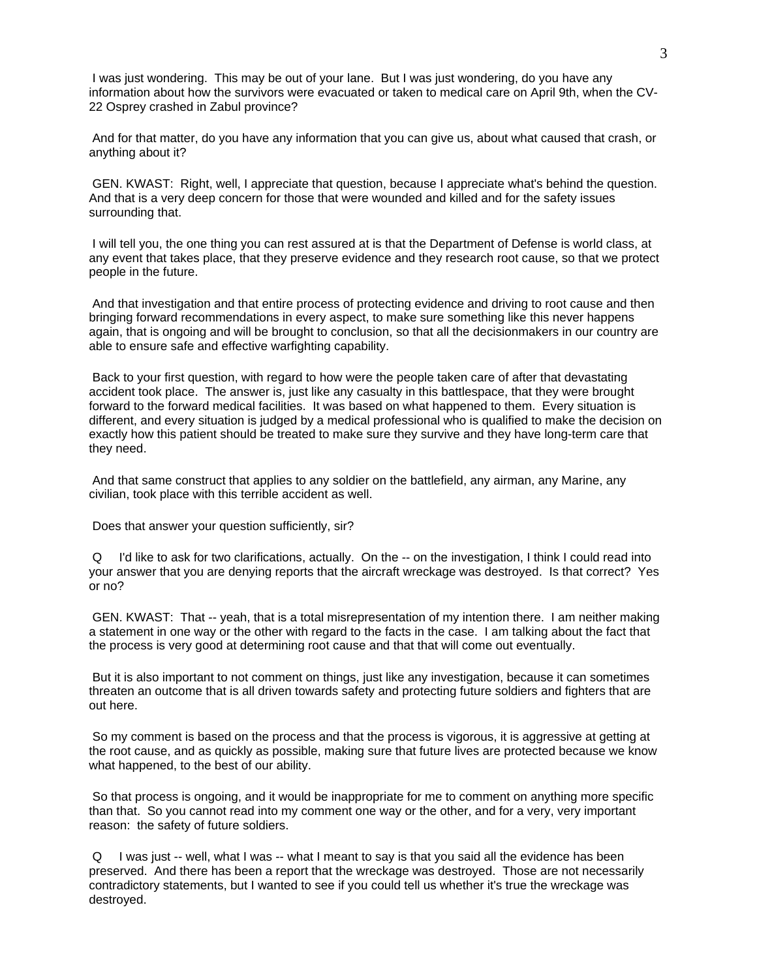I was just wondering. This may be out of your lane. But I was just wondering, do you have any information about how the survivors were evacuated or taken to medical care on April 9th, when the CV-22 Osprey crashed in Zabul province?

 And for that matter, do you have any information that you can give us, about what caused that crash, or anything about it?

 GEN. KWAST: Right, well, I appreciate that question, because I appreciate what's behind the question. And that is a very deep concern for those that were wounded and killed and for the safety issues surrounding that.

 I will tell you, the one thing you can rest assured at is that the Department of Defense is world class, at any event that takes place, that they preserve evidence and they research root cause, so that we protect people in the future.

 And that investigation and that entire process of protecting evidence and driving to root cause and then bringing forward recommendations in every aspect, to make sure something like this never happens again, that is ongoing and will be brought to conclusion, so that all the decisionmakers in our country are able to ensure safe and effective warfighting capability.

 Back to your first question, with regard to how were the people taken care of after that devastating accident took place. The answer is, just like any casualty in this battlespace, that they were brought forward to the forward medical facilities. It was based on what happened to them. Every situation is different, and every situation is judged by a medical professional who is qualified to make the decision on exactly how this patient should be treated to make sure they survive and they have long-term care that they need.

 And that same construct that applies to any soldier on the battlefield, any airman, any Marine, any civilian, took place with this terrible accident as well.

Does that answer your question sufficiently, sir?

 Q I'd like to ask for two clarifications, actually. On the -- on the investigation, I think I could read into your answer that you are denying reports that the aircraft wreckage was destroyed. Is that correct? Yes or no?

 GEN. KWAST: That -- yeah, that is a total misrepresentation of my intention there. I am neither making a statement in one way or the other with regard to the facts in the case. I am talking about the fact that the process is very good at determining root cause and that that will come out eventually.

 But it is also important to not comment on things, just like any investigation, because it can sometimes threaten an outcome that is all driven towards safety and protecting future soldiers and fighters that are out here.

 So my comment is based on the process and that the process is vigorous, it is aggressive at getting at the root cause, and as quickly as possible, making sure that future lives are protected because we know what happened, to the best of our ability.

 So that process is ongoing, and it would be inappropriate for me to comment on anything more specific than that. So you cannot read into my comment one way or the other, and for a very, very important reason: the safety of future soldiers.

I was just -- well, what I was -- what I meant to say is that you said all the evidence has been preserved. And there has been a report that the wreckage was destroyed. Those are not necessarily contradictory statements, but I wanted to see if you could tell us whether it's true the wreckage was destroyed.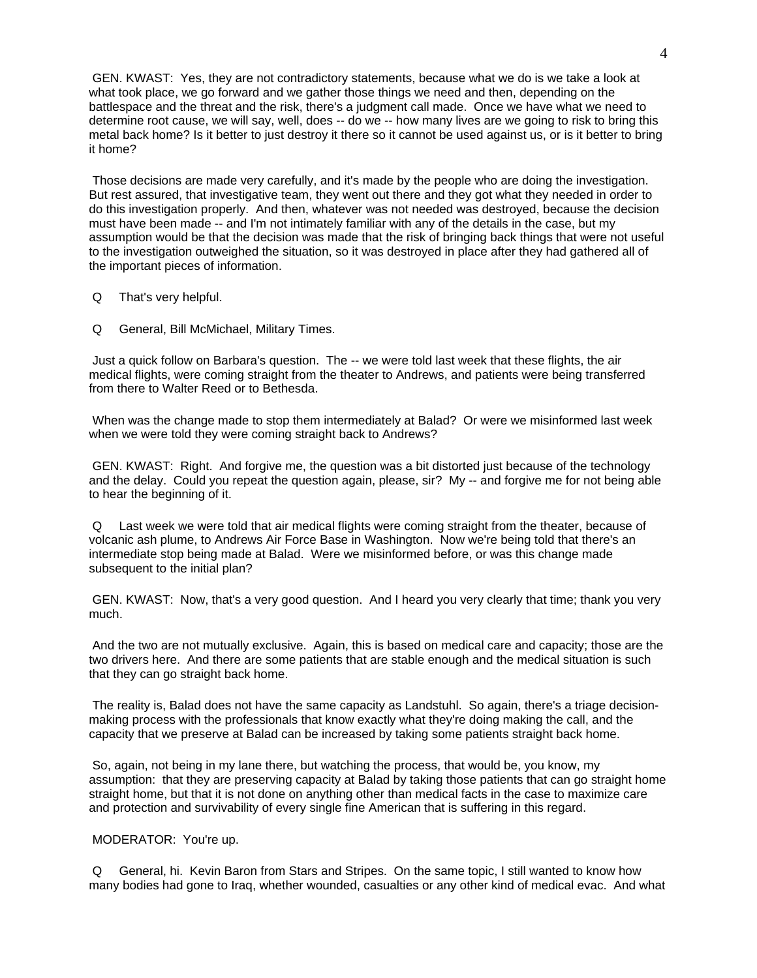GEN. KWAST: Yes, they are not contradictory statements, because what we do is we take a look at what took place, we go forward and we gather those things we need and then, depending on the battlespace and the threat and the risk, there's a judgment call made. Once we have what we need to determine root cause, we will say, well, does -- do we -- how many lives are we going to risk to bring this metal back home? Is it better to just destroy it there so it cannot be used against us, or is it better to bring it home?

 Those decisions are made very carefully, and it's made by the people who are doing the investigation. But rest assured, that investigative team, they went out there and they got what they needed in order to do this investigation properly. And then, whatever was not needed was destroyed, because the decision must have been made -- and I'm not intimately familiar with any of the details in the case, but my assumption would be that the decision was made that the risk of bringing back things that were not useful to the investigation outweighed the situation, so it was destroyed in place after they had gathered all of the important pieces of information.

- Q That's very helpful.
- Q General, Bill McMichael, Military Times.

 Just a quick follow on Barbara's question. The -- we were told last week that these flights, the air medical flights, were coming straight from the theater to Andrews, and patients were being transferred from there to Walter Reed or to Bethesda.

 When was the change made to stop them intermediately at Balad? Or were we misinformed last week when we were told they were coming straight back to Andrews?

 GEN. KWAST: Right. And forgive me, the question was a bit distorted just because of the technology and the delay. Could you repeat the question again, please, sir? My -- and forgive me for not being able to hear the beginning of it.

 Q Last week we were told that air medical flights were coming straight from the theater, because of volcanic ash plume, to Andrews Air Force Base in Washington. Now we're being told that there's an intermediate stop being made at Balad. Were we misinformed before, or was this change made subsequent to the initial plan?

 GEN. KWAST: Now, that's a very good question. And I heard you very clearly that time; thank you very much.

 And the two are not mutually exclusive. Again, this is based on medical care and capacity; those are the two drivers here. And there are some patients that are stable enough and the medical situation is such that they can go straight back home.

 The reality is, Balad does not have the same capacity as Landstuhl. So again, there's a triage decisionmaking process with the professionals that know exactly what they're doing making the call, and the capacity that we preserve at Balad can be increased by taking some patients straight back home.

 So, again, not being in my lane there, but watching the process, that would be, you know, my assumption: that they are preserving capacity at Balad by taking those patients that can go straight home straight home, but that it is not done on anything other than medical facts in the case to maximize care and protection and survivability of every single fine American that is suffering in this regard.

## MODERATOR: You're up.

 Q General, hi. Kevin Baron from Stars and Stripes. On the same topic, I still wanted to know how many bodies had gone to Iraq, whether wounded, casualties or any other kind of medical evac. And what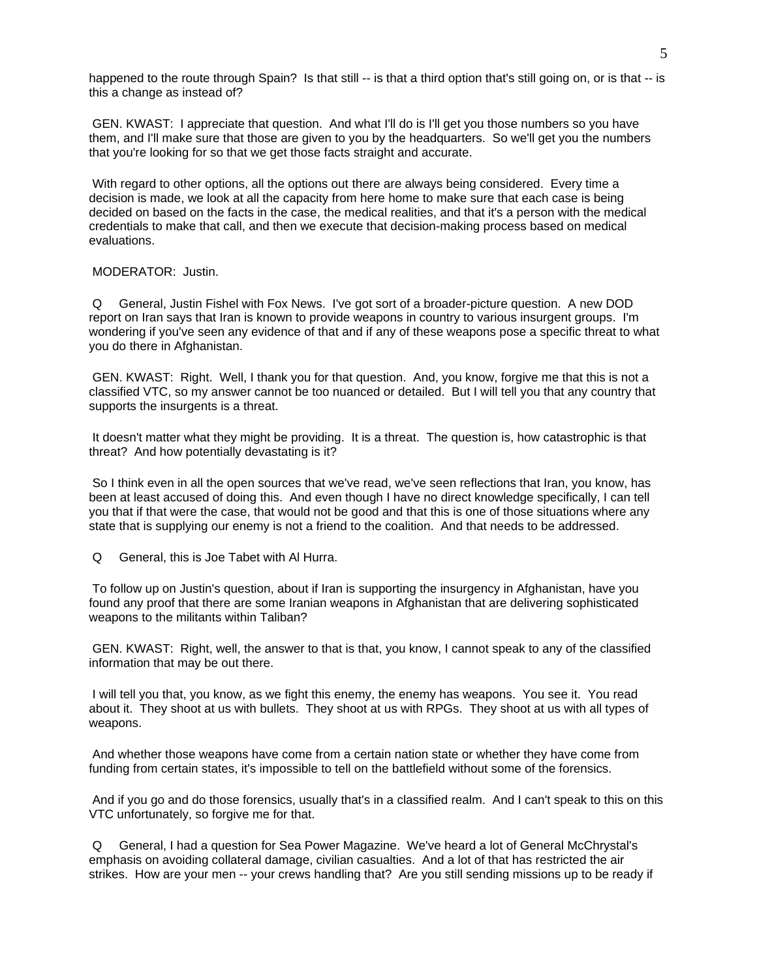happened to the route through Spain? Is that still -- is that a third option that's still going on, or is that -- is this a change as instead of?

 GEN. KWAST: I appreciate that question. And what I'll do is I'll get you those numbers so you have them, and I'll make sure that those are given to you by the headquarters. So we'll get you the numbers that you're looking for so that we get those facts straight and accurate.

 With regard to other options, all the options out there are always being considered. Every time a decision is made, we look at all the capacity from here home to make sure that each case is being decided on based on the facts in the case, the medical realities, and that it's a person with the medical credentials to make that call, and then we execute that decision-making process based on medical evaluations.

# MODERATOR: Justin.

 Q General, Justin Fishel with Fox News. I've got sort of a broader-picture question. A new DOD report on Iran says that Iran is known to provide weapons in country to various insurgent groups. I'm wondering if you've seen any evidence of that and if any of these weapons pose a specific threat to what you do there in Afghanistan.

 GEN. KWAST: Right. Well, I thank you for that question. And, you know, forgive me that this is not a classified VTC, so my answer cannot be too nuanced or detailed. But I will tell you that any country that supports the insurgents is a threat.

 It doesn't matter what they might be providing. It is a threat. The question is, how catastrophic is that threat? And how potentially devastating is it?

 So I think even in all the open sources that we've read, we've seen reflections that Iran, you know, has been at least accused of doing this. And even though I have no direct knowledge specifically, I can tell you that if that were the case, that would not be good and that this is one of those situations where any state that is supplying our enemy is not a friend to the coalition. And that needs to be addressed.

Q General, this is Joe Tabet with Al Hurra.

 To follow up on Justin's question, about if Iran is supporting the insurgency in Afghanistan, have you found any proof that there are some Iranian weapons in Afghanistan that are delivering sophisticated weapons to the militants within Taliban?

 GEN. KWAST: Right, well, the answer to that is that, you know, I cannot speak to any of the classified information that may be out there.

 I will tell you that, you know, as we fight this enemy, the enemy has weapons. You see it. You read about it. They shoot at us with bullets. They shoot at us with RPGs. They shoot at us with all types of weapons.

 And whether those weapons have come from a certain nation state or whether they have come from funding from certain states, it's impossible to tell on the battlefield without some of the forensics.

 And if you go and do those forensics, usually that's in a classified realm. And I can't speak to this on this VTC unfortunately, so forgive me for that.

 Q General, I had a question for Sea Power Magazine. We've heard a lot of General McChrystal's emphasis on avoiding collateral damage, civilian casualties. And a lot of that has restricted the air strikes. How are your men -- your crews handling that? Are you still sending missions up to be ready if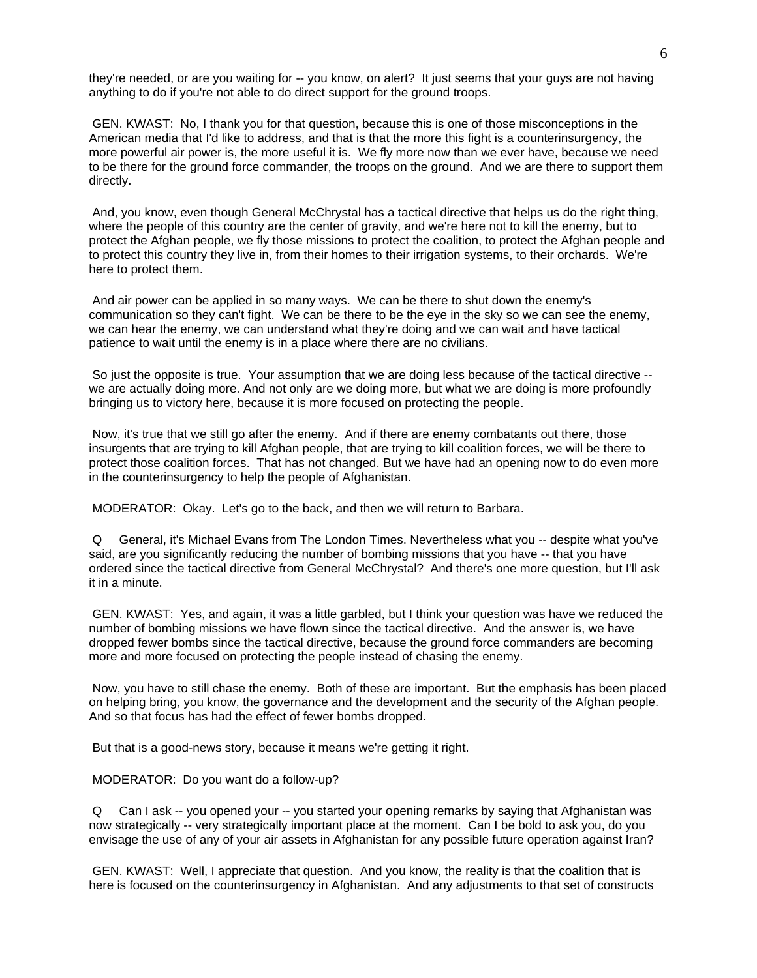they're needed, or are you waiting for -- you know, on alert? It just seems that your guys are not having anything to do if you're not able to do direct support for the ground troops.

 GEN. KWAST: No, I thank you for that question, because this is one of those misconceptions in the American media that I'd like to address, and that is that the more this fight is a counterinsurgency, the more powerful air power is, the more useful it is. We fly more now than we ever have, because we need to be there for the ground force commander, the troops on the ground. And we are there to support them directly.

 And, you know, even though General McChrystal has a tactical directive that helps us do the right thing, where the people of this country are the center of gravity, and we're here not to kill the enemy, but to protect the Afghan people, we fly those missions to protect the coalition, to protect the Afghan people and to protect this country they live in, from their homes to their irrigation systems, to their orchards. We're here to protect them.

 And air power can be applied in so many ways. We can be there to shut down the enemy's communication so they can't fight. We can be there to be the eye in the sky so we can see the enemy, we can hear the enemy, we can understand what they're doing and we can wait and have tactical patience to wait until the enemy is in a place where there are no civilians.

 So just the opposite is true. Your assumption that we are doing less because of the tactical directive - we are actually doing more. And not only are we doing more, but what we are doing is more profoundly bringing us to victory here, because it is more focused on protecting the people.

 Now, it's true that we still go after the enemy. And if there are enemy combatants out there, those insurgents that are trying to kill Afghan people, that are trying to kill coalition forces, we will be there to protect those coalition forces. That has not changed. But we have had an opening now to do even more in the counterinsurgency to help the people of Afghanistan.

MODERATOR: Okay. Let's go to the back, and then we will return to Barbara.

 Q General, it's Michael Evans from The London Times. Nevertheless what you -- despite what you've said, are you significantly reducing the number of bombing missions that you have -- that you have ordered since the tactical directive from General McChrystal? And there's one more question, but I'll ask it in a minute.

 GEN. KWAST: Yes, and again, it was a little garbled, but I think your question was have we reduced the number of bombing missions we have flown since the tactical directive. And the answer is, we have dropped fewer bombs since the tactical directive, because the ground force commanders are becoming more and more focused on protecting the people instead of chasing the enemy.

 Now, you have to still chase the enemy. Both of these are important. But the emphasis has been placed on helping bring, you know, the governance and the development and the security of the Afghan people. And so that focus has had the effect of fewer bombs dropped.

But that is a good-news story, because it means we're getting it right.

### MODERATOR: Do you want do a follow-up?

 Q Can I ask -- you opened your -- you started your opening remarks by saying that Afghanistan was now strategically -- very strategically important place at the moment. Can I be bold to ask you, do you envisage the use of any of your air assets in Afghanistan for any possible future operation against Iran?

 GEN. KWAST: Well, I appreciate that question. And you know, the reality is that the coalition that is here is focused on the counterinsurgency in Afghanistan. And any adjustments to that set of constructs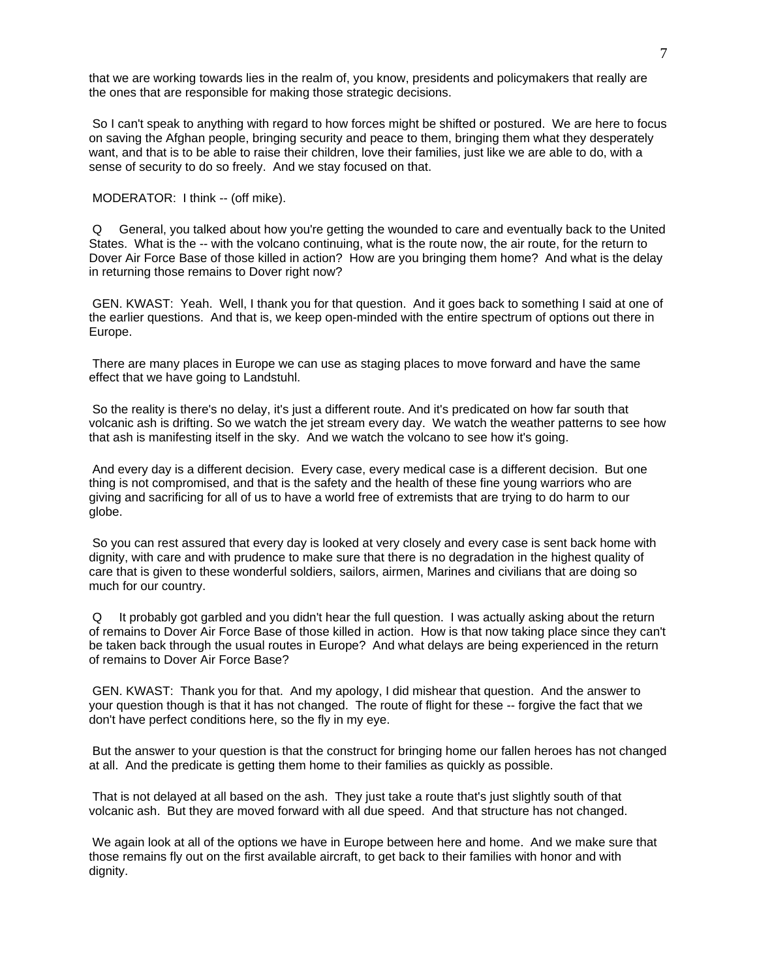that we are working towards lies in the realm of, you know, presidents and policymakers that really are the ones that are responsible for making those strategic decisions.

 So I can't speak to anything with regard to how forces might be shifted or postured. We are here to focus on saving the Afghan people, bringing security and peace to them, bringing them what they desperately want, and that is to be able to raise their children, love their families, just like we are able to do, with a sense of security to do so freely. And we stay focused on that.

MODERATOR: I think -- (off mike).

 Q General, you talked about how you're getting the wounded to care and eventually back to the United States. What is the -- with the volcano continuing, what is the route now, the air route, for the return to Dover Air Force Base of those killed in action? How are you bringing them home? And what is the delay in returning those remains to Dover right now?

 GEN. KWAST: Yeah. Well, I thank you for that question. And it goes back to something I said at one of the earlier questions. And that is, we keep open-minded with the entire spectrum of options out there in Europe.

 There are many places in Europe we can use as staging places to move forward and have the same effect that we have going to Landstuhl.

 So the reality is there's no delay, it's just a different route. And it's predicated on how far south that volcanic ash is drifting. So we watch the jet stream every day. We watch the weather patterns to see how that ash is manifesting itself in the sky. And we watch the volcano to see how it's going.

 And every day is a different decision. Every case, every medical case is a different decision. But one thing is not compromised, and that is the safety and the health of these fine young warriors who are giving and sacrificing for all of us to have a world free of extremists that are trying to do harm to our globe.

 So you can rest assured that every day is looked at very closely and every case is sent back home with dignity, with care and with prudence to make sure that there is no degradation in the highest quality of care that is given to these wonderful soldiers, sailors, airmen, Marines and civilians that are doing so much for our country.

 Q It probably got garbled and you didn't hear the full question. I was actually asking about the return of remains to Dover Air Force Base of those killed in action. How is that now taking place since they can't be taken back through the usual routes in Europe? And what delays are being experienced in the return of remains to Dover Air Force Base?

 GEN. KWAST: Thank you for that. And my apology, I did mishear that question. And the answer to your question though is that it has not changed. The route of flight for these -- forgive the fact that we don't have perfect conditions here, so the fly in my eye.

 But the answer to your question is that the construct for bringing home our fallen heroes has not changed at all. And the predicate is getting them home to their families as quickly as possible.

 That is not delayed at all based on the ash. They just take a route that's just slightly south of that volcanic ash. But they are moved forward with all due speed. And that structure has not changed.

 We again look at all of the options we have in Europe between here and home. And we make sure that those remains fly out on the first available aircraft, to get back to their families with honor and with dignity.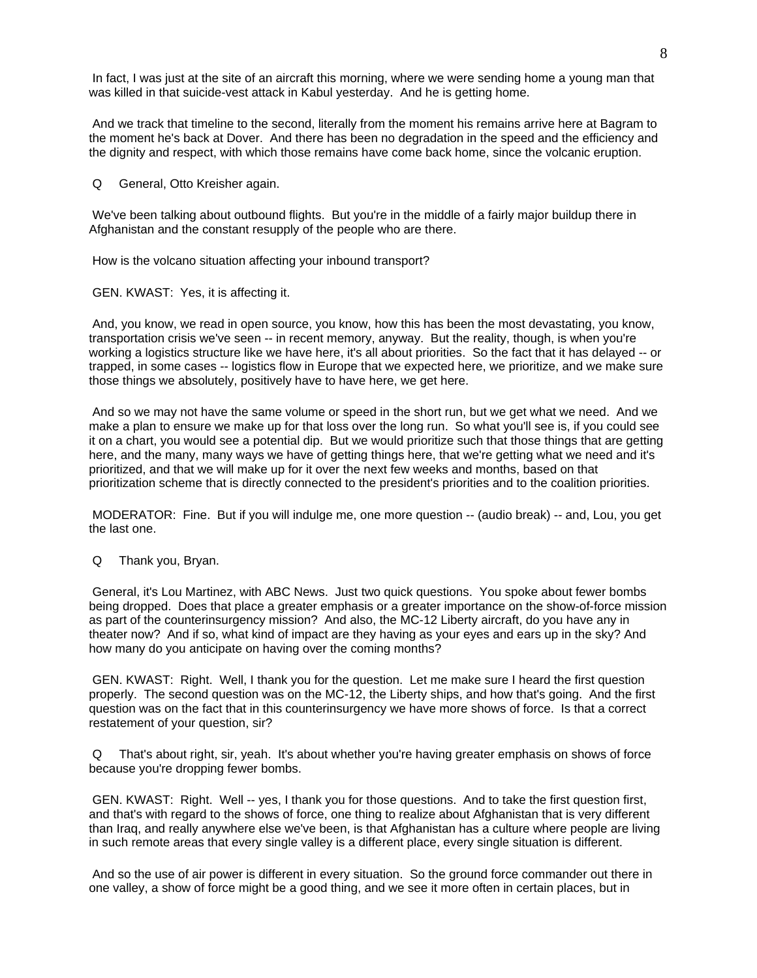In fact, I was just at the site of an aircraft this morning, where we were sending home a young man that was killed in that suicide-vest attack in Kabul yesterday. And he is getting home.

 And we track that timeline to the second, literally from the moment his remains arrive here at Bagram to the moment he's back at Dover. And there has been no degradation in the speed and the efficiency and the dignity and respect, with which those remains have come back home, since the volcanic eruption.

Q General, Otto Kreisher again.

 We've been talking about outbound flights. But you're in the middle of a fairly major buildup there in Afghanistan and the constant resupply of the people who are there.

How is the volcano situation affecting your inbound transport?

GEN. KWAST: Yes, it is affecting it.

 And, you know, we read in open source, you know, how this has been the most devastating, you know, transportation crisis we've seen -- in recent memory, anyway. But the reality, though, is when you're working a logistics structure like we have here, it's all about priorities. So the fact that it has delayed -- or trapped, in some cases -- logistics flow in Europe that we expected here, we prioritize, and we make sure those things we absolutely, positively have to have here, we get here.

 And so we may not have the same volume or speed in the short run, but we get what we need. And we make a plan to ensure we make up for that loss over the long run. So what you'll see is, if you could see it on a chart, you would see a potential dip. But we would prioritize such that those things that are getting here, and the many, many ways we have of getting things here, that we're getting what we need and it's prioritized, and that we will make up for it over the next few weeks and months, based on that prioritization scheme that is directly connected to the president's priorities and to the coalition priorities.

 MODERATOR: Fine. But if you will indulge me, one more question -- (audio break) -- and, Lou, you get the last one.

#### Q Thank you, Bryan.

 General, it's Lou Martinez, with ABC News. Just two quick questions. You spoke about fewer bombs being dropped. Does that place a greater emphasis or a greater importance on the show-of-force mission as part of the counterinsurgency mission? And also, the MC-12 Liberty aircraft, do you have any in theater now? And if so, what kind of impact are they having as your eyes and ears up in the sky? And how many do you anticipate on having over the coming months?

 GEN. KWAST: Right. Well, I thank you for the question. Let me make sure I heard the first question properly. The second question was on the MC-12, the Liberty ships, and how that's going. And the first question was on the fact that in this counterinsurgency we have more shows of force. Is that a correct restatement of your question, sir?

 Q That's about right, sir, yeah. It's about whether you're having greater emphasis on shows of force because you're dropping fewer bombs.

 GEN. KWAST: Right. Well -- yes, I thank you for those questions. And to take the first question first, and that's with regard to the shows of force, one thing to realize about Afghanistan that is very different than Iraq, and really anywhere else we've been, is that Afghanistan has a culture where people are living in such remote areas that every single valley is a different place, every single situation is different.

 And so the use of air power is different in every situation. So the ground force commander out there in one valley, a show of force might be a good thing, and we see it more often in certain places, but in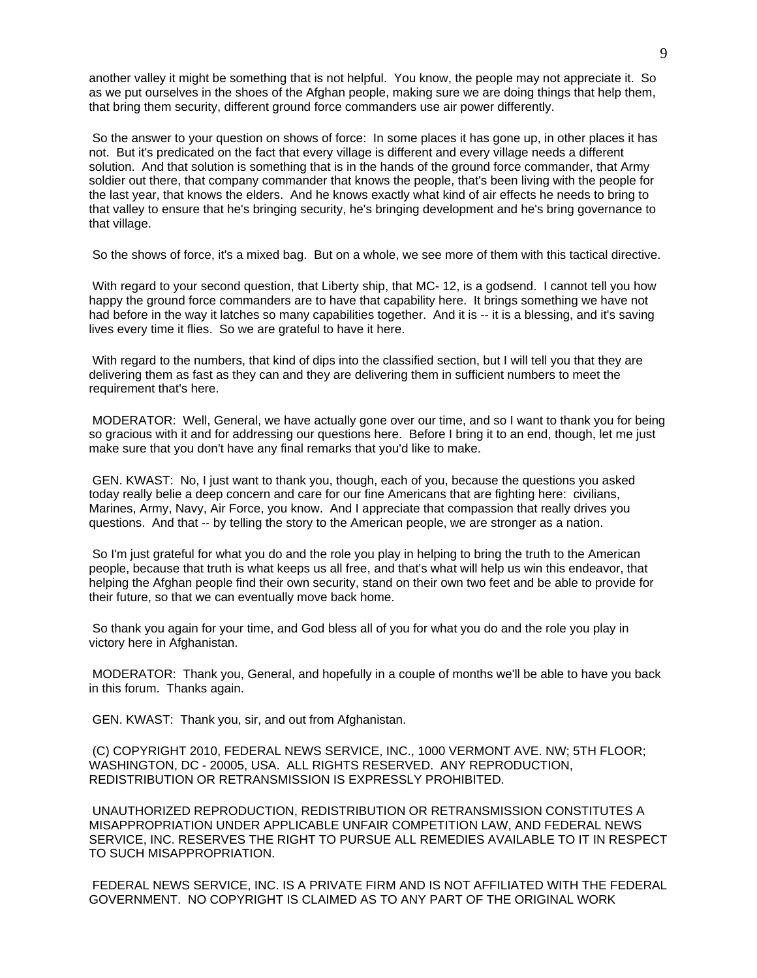another valley it might be something that is not helpful. You know, the people may not appreciate it. So as we put ourselves in the shoes of the Afghan people, making sure we are doing things that help them, that bring them security, different ground force commanders use air power differently.

 So the answer to your question on shows of force: In some places it has gone up, in other places it has not. But it's predicated on the fact that every village is different and every village needs a different solution. And that solution is something that is in the hands of the ground force commander, that Army soldier out there, that company commander that knows the people, that's been living with the people for the last year, that knows the elders. And he knows exactly what kind of air effects he needs to bring to that valley to ensure that he's bringing security, he's bringing development and he's bring governance to that village.

So the shows of force, it's a mixed bag. But on a whole, we see more of them with this tactical directive.

With regard to your second question, that Liberty ship, that MC- 12, is a godsend. I cannot tell you how happy the ground force commanders are to have that capability here. It brings something we have not had before in the way it latches so many capabilities together. And it is -- it is a blessing, and it's saving lives every time it flies. So we are grateful to have it here.

With regard to the numbers, that kind of dips into the classified section, but I will tell you that they are delivering them as fast as they can and they are delivering them in sufficient numbers to meet the requirement that's here.

 MODERATOR: Well, General, we have actually gone over our time, and so I want to thank you for being so gracious with it and for addressing our questions here. Before I bring it to an end, though, let me just make sure that you don't have any final remarks that you'd like to make.

 GEN. KWAST: No, I just want to thank you, though, each of you, because the questions you asked today really belie a deep concern and care for our fine Americans that are fighting here: civilians, Marines, Army, Navy, Air Force, you know. And I appreciate that compassion that really drives you questions. And that -- by telling the story to the American people, we are stronger as a nation.

 So I'm just grateful for what you do and the role you play in helping to bring the truth to the American people, because that truth is what keeps us all free, and that's what will help us win this endeavor, that helping the Afghan people find their own security, stand on their own two feet and be able to provide for their future, so that we can eventually move back home.

 So thank you again for your time, and God bless all of you for what you do and the role you play in victory here in Afghanistan.

 MODERATOR: Thank you, General, and hopefully in a couple of months we'll be able to have you back in this forum. Thanks again.

GEN. KWAST: Thank you, sir, and out from Afghanistan.

 (C) COPYRIGHT 2010, FEDERAL NEWS SERVICE, INC., 1000 VERMONT AVE. NW; 5TH FLOOR; WASHINGTON, DC - 20005, USA. ALL RIGHTS RESERVED. ANY REPRODUCTION, REDISTRIBUTION OR RETRANSMISSION IS EXPRESSLY PROHIBITED.

 UNAUTHORIZED REPRODUCTION, REDISTRIBUTION OR RETRANSMISSION CONSTITUTES A MISAPPROPRIATION UNDER APPLICABLE UNFAIR COMPETITION LAW, AND FEDERAL NEWS SERVICE, INC. RESERVES THE RIGHT TO PURSUE ALL REMEDIES AVAILABLE TO IT IN RESPECT TO SUCH MISAPPROPRIATION.

 FEDERAL NEWS SERVICE, INC. IS A PRIVATE FIRM AND IS NOT AFFILIATED WITH THE FEDERAL GOVERNMENT. NO COPYRIGHT IS CLAIMED AS TO ANY PART OF THE ORIGINAL WORK